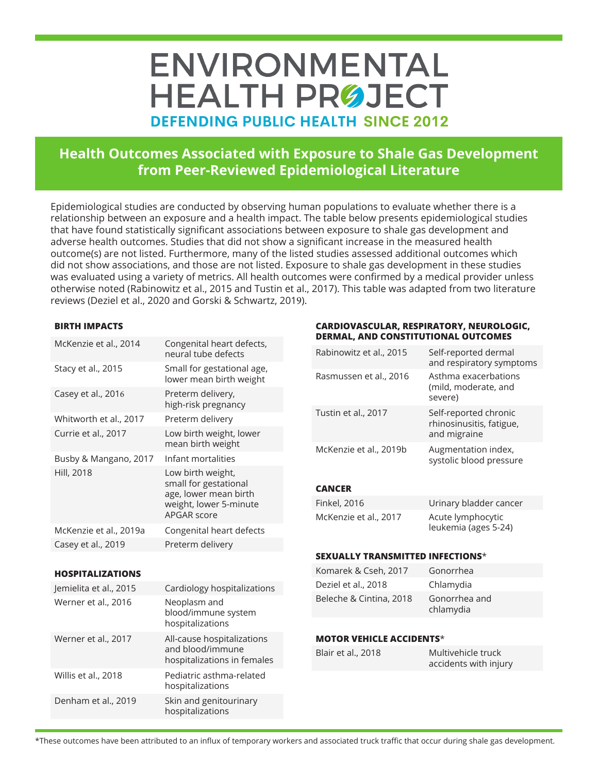# ENVIRONMENTAL **HEALTH PRØJECT DEFENDING PUBLIC HEALTH SINCE 2012**

# **Health Outcomes Associated with Exposure to Shale Gas Development from Peer-Reviewed Epidemiological Literature**

Epidemiological studies are conducted by observing human populations to evaluate whether there is a relationship between an exposure and a health impact. The table below presents epidemiological studies that have found statistically significant associations between exposure to shale gas development and adverse health outcomes. Studies that did not show a significant increase in the measured health outcome(s) are not listed. Furthermore, many of the listed studies assessed additional outcomes which did not show associations, and those are not listed. Exposure to shale gas development in these studies was evaluated using a variety of metrics. All health outcomes were confirmed by a medical provider unless otherwise noted (Rabinowitz et al., 2015 and Tustin et al., 2017). This table was adapted from two literature reviews (Deziel et al., 2020 and Gorski & Schwartz, 2019).

### **BIRTH IMPACTS**

| McKenzie et al., 2014   | Congenital heart defects,<br>neural tube defects                                                             |
|-------------------------|--------------------------------------------------------------------------------------------------------------|
| Stacy et al., 2015      | Small for gestational age,<br>lower mean birth weight                                                        |
| Casey et al., 2016      | Preterm delivery,<br>high-risk pregnancy                                                                     |
| Whitworth et al., 2017  | Preterm delivery                                                                                             |
| Currie et al., 2017     | Low birth weight, lower<br>mean birth weight                                                                 |
| Busby & Mangano, 2017   | Infant mortalities                                                                                           |
| Hill, 2018              | Low birth weight,<br>small for gestational<br>age, lower mean birth<br>weight, lower 5-minute<br>APGAR score |
| McKenzie et al., 2019a  | Congenital heart defects                                                                                     |
| Casey et al., 2019      | Preterm delivery                                                                                             |
|                         |                                                                                                              |
| <b>HOSPITALIZATIONS</b> |                                                                                                              |
| Jemielita et al., 2015  | Cardiology hospitalizations                                                                                  |
| Werner et al., 2016     | Neoplasm and<br>blood/immune system<br>hospitalizations                                                      |
| Werner et al., 2017     | All-cause hospitalizations<br>and blood/immune<br>hospitalizations in females                                |

Willis et al., 2018 Pediatric asthma-related

Denham et al., 2019 Skin and genitourinary

hospitalizations

hospitalizations

#### **CARDIOVASCULAR, RESPIRATORY, NEUROLOGIC, DERMAL, AND CONSTITUTIONAL OUTCOMES**

| Rabinowitz et al., 2015 | Self-reported dermal<br>and respiratory symptoms                  |
|-------------------------|-------------------------------------------------------------------|
| Rasmussen et al., 2016  | Asthma exacerbations<br>(mild, moderate, and<br>severe)           |
| Tustin et al., 2017     | Self-reported chronic<br>rhinosinusitis, fatigue,<br>and migraine |
| McKenzie et al., 2019b  | Augmentation index,<br>systolic blood pressure                    |

## **CANCER**

| Finkel, 2016          | Urinary bladder cancer                    |
|-----------------------|-------------------------------------------|
| McKenzie et al., 2017 | Acute lymphocytic<br>leukemia (ages 5-24) |

### **SEXUALLY TRANSMITTED INFECTIONS**\*

| Komarek & Cseh, 2017    | Gonorrhea                  |
|-------------------------|----------------------------|
| Deziel et al., 2018     | Chlamydia                  |
| Beleche & Cintina, 2018 | Gonorrhea and<br>chlamydia |

### **MOTOR VEHICLE ACCIDENTS**\*

| Blair et al., 2018 | Multivehicle truck    |
|--------------------|-----------------------|
|                    | accidents with injury |

\*These outcomes have been attributed to an influx of temporary workers and associated truck traffic that occur during shale gas development.